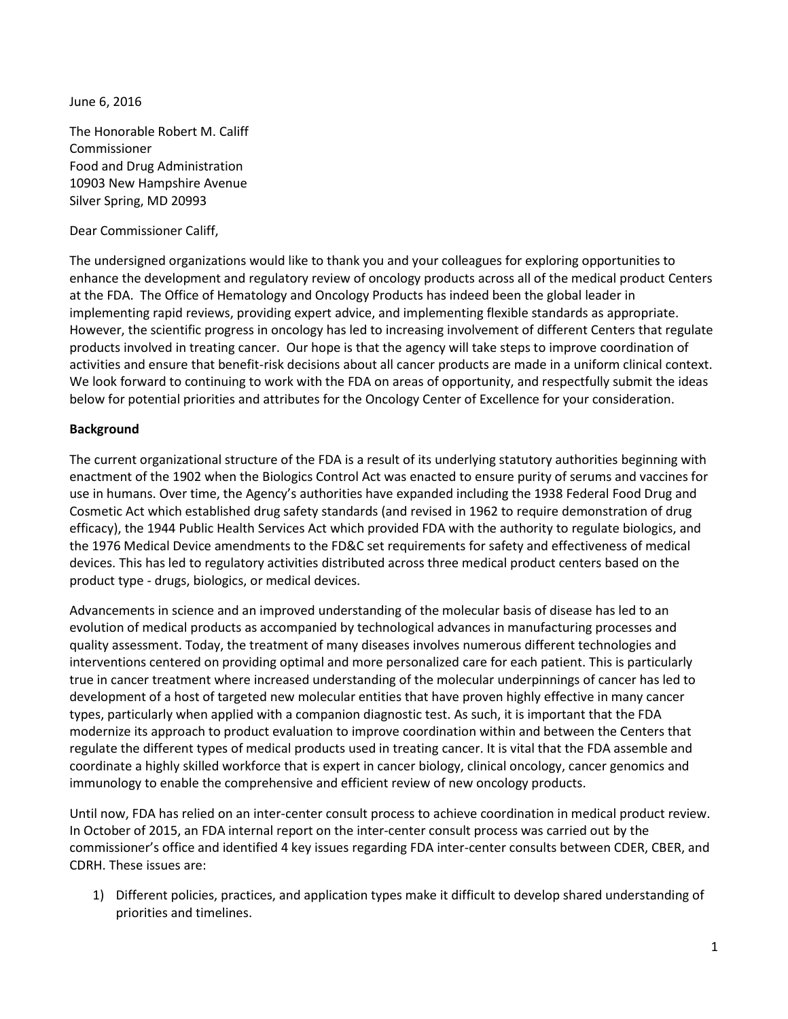June 6, 2016

The Honorable Robert M. Califf Commissioner Food and Drug Administration 10903 New Hampshire Avenue Silver Spring, MD 20993

Dear Commissioner Califf,

The undersigned organizations would like to thank you and your colleagues for exploring opportunities to enhance the development and regulatory review of oncology products across all of the medical product Centers at the FDA. The Office of Hematology and Oncology Products has indeed been the global leader in implementing rapid reviews, providing expert advice, and implementing flexible standards as appropriate. However, the scientific progress in oncology has led to increasing involvement of different Centers that regulate products involved in treating cancer. Our hope is that the agency will take steps to improve coordination of activities and ensure that benefit-risk decisions about all cancer products are made in a uniform clinical context. We look forward to continuing to work with the FDA on areas of opportunity, and respectfully submit the ideas below for potential priorities and attributes for the Oncology Center of Excellence for your consideration.

## **Background**

The current organizational structure of the FDA is a result of its underlying statutory authorities beginning with enactment of the 1902 when the Biologics Control Act was enacted to ensure purity of serums and vaccines for use in humans. Over time, the Agency's authorities have expanded including the 1938 Federal Food Drug and Cosmetic Act which established drug safety standards (and revised in 1962 to require demonstration of drug efficacy), the 1944 Public Health Services Act which provided FDA with the authority to regulate biologics, and the 1976 Medical Device amendments to the FD&C set requirements for safety and effectiveness of medical devices. This has led to regulatory activities distributed across three medical product centers based on the product type - drugs, biologics, or medical devices.

Advancements in science and an improved understanding of the molecular basis of disease has led to an evolution of medical products as accompanied by technological advances in manufacturing processes and quality assessment. Today, the treatment of many diseases involves numerous different technologies and interventions centered on providing optimal and more personalized care for each patient. This is particularly true in cancer treatment where increased understanding of the molecular underpinnings of cancer has led to development of a host of targeted new molecular entities that have proven highly effective in many cancer types, particularly when applied with a companion diagnostic test. As such, it is important that the FDA modernize its approach to product evaluation to improve coordination within and between the Centers that regulate the different types of medical products used in treating cancer. It is vital that the FDA assemble and coordinate a highly skilled workforce that is expert in cancer biology, clinical oncology, cancer genomics and immunology to enable the comprehensive and efficient review of new oncology products.

Until now, FDA has relied on an inter-center consult process to achieve coordination in medical product review. In October of 2015, an FDA internal report on the inter-center consult process was carried out by the commissioner's office and identified 4 key issues regarding FDA inter-center consults between CDER, CBER, and CDRH. These issues are:

1) Different policies, practices, and application types make it difficult to develop shared understanding of priorities and timelines.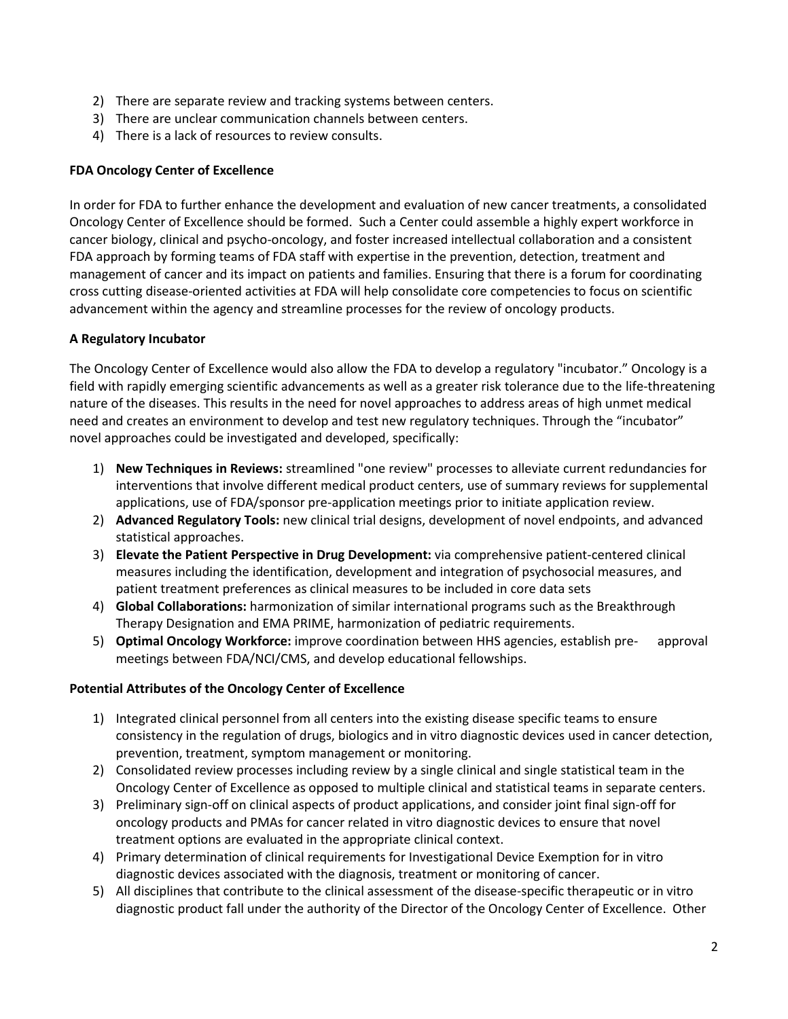- 2) There are separate review and tracking systems between centers.
- 3) There are unclear communication channels between centers.
- 4) There is a lack of resources to review consults.

## **FDA Oncology Center of Excellence**

In order for FDA to further enhance the development and evaluation of new cancer treatments, a consolidated Oncology Center of Excellence should be formed. Such a Center could assemble a highly expert workforce in cancer biology, clinical and psycho-oncology, and foster increased intellectual collaboration and a consistent FDA approach by forming teams of FDA staff with expertise in the prevention, detection, treatment and management of cancer and its impact on patients and families. Ensuring that there is a forum for coordinating cross cutting disease-oriented activities at FDA will help consolidate core competencies to focus on scientific advancement within the agency and streamline processes for the review of oncology products.

## **A Regulatory Incubator**

The Oncology Center of Excellence would also allow the FDA to develop a regulatory "incubator." Oncology is a field with rapidly emerging scientific advancements as well as a greater risk tolerance due to the life-threatening nature of the diseases. This results in the need for novel approaches to address areas of high unmet medical need and creates an environment to develop and test new regulatory techniques. Through the "incubator" novel approaches could be investigated and developed, specifically:

- 1) **New Techniques in Reviews:** streamlined "one review" processes to alleviate current redundancies for interventions that involve different medical product centers, use of summary reviews for supplemental applications, use of FDA/sponsor pre-application meetings prior to initiate application review.
- 2) **Advanced Regulatory Tools:** new clinical trial designs, development of novel endpoints, and advanced statistical approaches.
- 3) **Elevate the Patient Perspective in Drug Development:** via comprehensive patient-centered clinical measures including the identification, development and integration of psychosocial measures, and patient treatment preferences as clinical measures to be included in core data sets
- 4) **Global Collaborations:** harmonization of similar international programs such as the Breakthrough Therapy Designation and EMA PRIME, harmonization of pediatric requirements.
- 5) **Optimal Oncology Workforce:** improve coordination between HHS agencies, establish pre- approval meetings between FDA/NCI/CMS, and develop educational fellowships.

## **Potential Attributes of the Oncology Center of Excellence**

- 1) Integrated clinical personnel from all centers into the existing disease specific teams to ensure consistency in the regulation of drugs, biologics and in vitro diagnostic devices used in cancer detection, prevention, treatment, symptom management or monitoring.
- 2) Consolidated review processes including review by a single clinical and single statistical team in the Oncology Center of Excellence as opposed to multiple clinical and statistical teams in separate centers.
- 3) Preliminary sign-off on clinical aspects of product applications, and consider joint final sign-off for oncology products and PMAs for cancer related in vitro diagnostic devices to ensure that novel treatment options are evaluated in the appropriate clinical context.
- 4) Primary determination of clinical requirements for Investigational Device Exemption for in vitro diagnostic devices associated with the diagnosis, treatment or monitoring of cancer.
- 5) All disciplines that contribute to the clinical assessment of the disease-specific therapeutic or in vitro diagnostic product fall under the authority of the Director of the Oncology Center of Excellence. Other